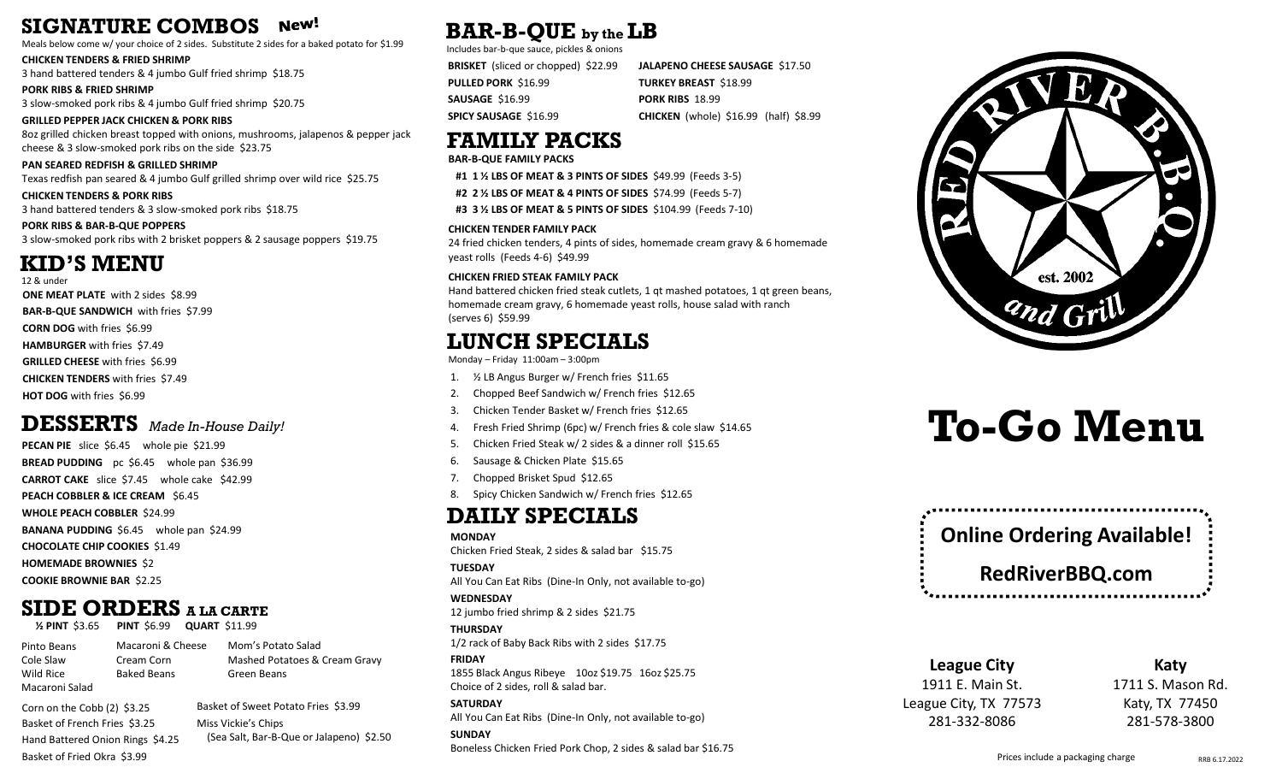#### **SIGNATURE COMBOS** New!

Meals below come w/ your choice of 2 sides. Substitute 2 sides for a baked potato for \$1.99

**CHICKEN TENDERS & FRIED SHRIMP**

3 hand battered tenders & 4 jumbo Gulf fried shrimp \$18.75

**PORK RIBS & FRIED SHRIMP** 3 slow-smoked pork ribs & 4 jumbo Gulf fried shrimp \$20.75

**GRILLED PEPPER JACK CHICKEN & PORK RIBS** 8oz grilled chicken breast topped with onions, mushrooms, jalapenos & pepper jack cheese & 3 slow-smoked pork ribs on the side \$23.75

**PAN SEARED REDFISH & GRILLED SHRIMP** Texas redfish pan seared & 4 jumbo Gulf grilled shrimp over wild rice \$25.75

**CHICKEN TENDERS & PORK RIBS** 3 hand battered tenders & 3 slow-smoked pork ribs \$18.75

**PORK RIBS & BAR-B-QUE POPPERS** 3 slow-smoked pork ribs with 2 brisket poppers & 2 sausage poppers \$19.75

### **KID'S MENU**

**ONE MEAT PLATE** with 2 sides \$8.99 **BAR-B-QUE SANDWICH** with fries \$7.99 **CORN DOG** with fries \$6.99 **HAMBURGER** with fries \$7.49 **GRILLED CHEESE** with fries \$6.99 **CHICKEN TENDERS** with fries \$7.49 **HOT DOG** with fries \$6.99 12 & under

### **DESSERTS** *Made In-House Daily!*

**PECAN PIE** slice \$6.45 whole pie \$21.99 **BREAD PUDDING** pc \$6.45 whole pan \$36.99 **CARROT CAKE** slice \$7.45 whole cake \$42.99 **PEACH COBBLER & ICE CREAM** \$6.45 **WHOLE PEACH COBBLER** \$24.99 **BANANA PUDDING** \$6.45 whole pan \$24.99 **CHOCOLATE CHIP COOKIES** \$1.49 **HOMEMADE BROWNIES** \$2 **COOKIE BROWNIE BAR** \$2.25

## **SIDE ORDERS A LA CARTE**

**½ PINT** \$3.65 **PINT** \$6.99 **QUART** \$11.99

Pinto Beans Cole Slaw Wild Rice Macaroni Salad Cream Corn Baked Beans

Macaroni & Cheese Mom's Potato Salad Mashed Potatoes & Cream Gravy Green Beans

Corn on the Cobb (2) \$3.25 Basket of French Fries \$3.25 Hand Battered Onion Rings \$4.25 Basket of Fried Okra \$3.99

Basket of Sweet Potato Fries \$3.99 Miss Vickie's Chips (Sea Salt, Bar-B-Que or Jalapeno) \$2.50

### **BAR-B-QUE by the LB**

Includes bar-b-que sauce, pickles & onions

**BRISKET** (sliced or chopped) \$22.99 **PULLED PORK** \$16.99 **SAUSAGE** \$16.99 **SPICY SAUSAGE** \$16.99

**JALAPENO CHEESE SAUSAGE** \$17.50 **TURKEY BREAST** \$18.99 **PORK RIBS** 18.99 **CHICKEN** (whole) \$16.99 (half) \$8.99

### **FAMILY PACKS**

**BAR-B-QUE FAMILY PACKS**

**#1 1 ½ LBS OF MEAT & 3 PINTS OF SIDES** \$49.99 (Feeds 3-5)

**#2 2 ½ LBS OF MEAT & 4 PINTS OF SIDES** \$74.99 (Feeds 5-7)

**#3 3 ½ LBS OF MEAT & 5 PINTS OF SIDES** \$104.99 (Feeds 7-10)

#### **CHICKEN TENDER FAMILY PACK**

24 fried chicken tenders, 4 pints of sides, homemade cream gravy & 6 homemade yeast rolls (Feeds 4-6) \$49.99

#### **CHICKEN FRIED STEAK FAMILY PACK**

Hand battered chicken fried steak cutlets, 1 qt mashed potatoes, 1 qt green beans, homemade cream gravy, 6 homemade yeast rolls, house salad with ranch (serves 6) \$59.99

### **LUNCH SPECIALS**

Monday – Friday 11:00am – 3:00pm

- 1. ½ LB Angus Burger w/ French fries \$11.65
- 2. Chopped Beef Sandwich w/ French fries \$12.65
- 3. Chicken Tender Basket w/ French fries \$12.65
- 4. Fresh Fried Shrimp (6pc) w/ French fries & cole slaw \$14.65
- 5. Chicken Fried Steak w/ 2 sides & a dinner roll \$15.65
- 6. Sausage & Chicken Plate \$15.65
- 7. Chopped Brisket Spud \$12.65
- 8. Spicy Chicken Sandwich w/ French fries \$12.65

### **DAILY SPECIALS**

#### **MONDAY**

Chicken Fried Steak, 2 sides & salad bar \$15.75

**TUESDAY** 

All You Can Eat Ribs (Dine-In Only, not available to-go) **WEDNESDAY**

12 jumbo fried shrimp & 2 sides \$21.75

**THURSDAY**  1/2 rack of Baby Back Ribs with 2 sides \$17.75

**FRIDAY**  1855 Black Angus Ribeye 10oz \$19.75 16oz \$25.75 Choice of 2 sides, roll & salad bar.

**SATURDAY**  All You Can Eat Ribs (Dine-In Only, not available to-go)

**SUNDAY** Boneless Chicken Fried Pork Chop, 2 sides & salad bar \$16.75



# **To-Go Menu**



**League City** 1911 E. Main St. League City, TX 77573 281-332-8086

**Katy**

1711 S. Mason Rd. Katy, TX 77450 281-578-3800